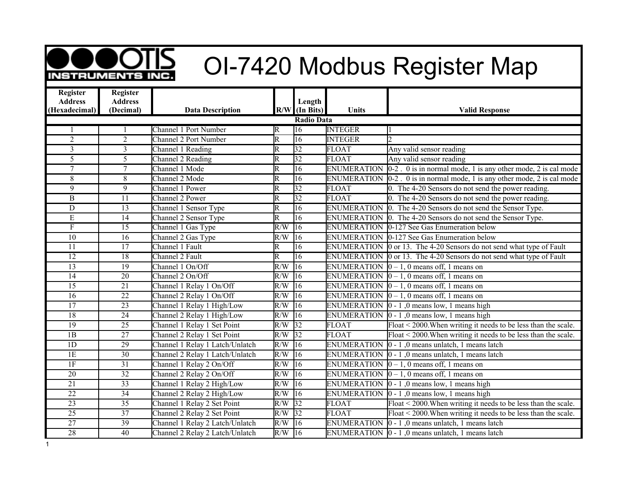

## **OCOUD** OI-7420 Modbus Register Map

| <b>Register</b>   | <b>Register</b> |                                 |                         |                 |                    |                                                                  |  |  |  |
|-------------------|-----------------|---------------------------------|-------------------------|-----------------|--------------------|------------------------------------------------------------------|--|--|--|
| <b>Address</b>    | <b>Address</b>  |                                 |                         | Length          |                    |                                                                  |  |  |  |
| (Hexadecimal)     | (Decimal)       | <b>Data Description</b>         |                         | $R/W$ (In Bits) | <b>Units</b>       | <b>Valid Response</b>                                            |  |  |  |
| <b>Radio Data</b> |                 |                                 |                         |                 |                    |                                                                  |  |  |  |
|                   |                 | <b>Channel 1 Port Number</b>    | R                       | 16              | <b>INTEGER</b>     |                                                                  |  |  |  |
| $\overline{2}$    | $\overline{2}$  | Channel 2 Port Number           | R                       | $\overline{16}$ | <b>INTEGER</b>     | h.                                                               |  |  |  |
| 3                 | $\overline{3}$  | Channel 1 Reading               | R                       | $\overline{32}$ | <b>FLOAT</b>       | Any valid sensor reading                                         |  |  |  |
| $\overline{5}$    | $\overline{5}$  | Channel 2 Reading               | $\overline{\mathsf{R}}$ | $\overline{32}$ | <b>FLOAT</b>       | Any valid sensor reading                                         |  |  |  |
| $\overline{7}$    | $\overline{7}$  | Channel 1 Mode                  | $\overline{\mathrm{R}}$ | $\overline{16}$ | <b>ENUMERATION</b> | $0-2$ . 0 is in normal mode, 1 is any other mode, 2 is cal mode  |  |  |  |
| 8                 | 8               | Channel 2 Mode                  | $\overline{\mathsf{R}}$ | $\overline{16}$ | <b>ENUMERATION</b> | $0-2$ . 0 is in normal mode, 1 is any other mode, 2 is cal mode  |  |  |  |
| 9                 | 9               | Channel 1 Power                 | $\overline{\mathrm{R}}$ | $\overline{32}$ | <b>FLOAT</b>       | 0. The 4-20 Sensors do not send the power reading.               |  |  |  |
| $\overline{B}$    | $\overline{11}$ | Channel 2 Power                 | $\overline{\mathsf{R}}$ | $\overline{32}$ | <b>FLOAT</b>       | 0. The 4-20 Sensors do not send the power reading.               |  |  |  |
| $\overline{D}$    | 13              | Channel 1 Sensor Type           | R                       | 16              | ENUMERATION        | 0. The 4-20 Sensors do not send the Sensor Type.                 |  |  |  |
| $\overline{E}$    | $\overline{14}$ | Channel 2 Sensor Type           | $\overline{\mathrm{R}}$ | $\overline{16}$ | <b>ENUMERATION</b> | 0. The 4-20 Sensors do not send the Sensor Type.                 |  |  |  |
| $\mathbf{F}$      | $\overline{15}$ | Channel 1 Gas Type              | R/W                     | $\overline{16}$ | <b>ENUMERATION</b> | 0-127 See Gas Enumeration below                                  |  |  |  |
| $\overline{10}$   | $\overline{16}$ | Channel 2 Gas Type              | R/W                     | $\overline{16}$ | <b>ENUMERATION</b> | 0-127 See Gas Enumeration below                                  |  |  |  |
| $\overline{11}$   | $\overline{17}$ | Channel 1 Fault                 | $\overline{\mathrm{R}}$ | $\overline{16}$ | <b>ENUMERATION</b> | 0 or 13. The 4-20 Sensors do not send what type of Fault         |  |  |  |
| $\overline{12}$   | $\overline{18}$ | Channel 2 Fault                 | $\overline{\mathrm{R}}$ | 16              | <b>ENUMERATION</b> | 0 or 13. The 4-20 Sensors do not send what type of Fault         |  |  |  |
| $\overline{13}$   | $\overline{19}$ | Channel 1 On/Off                | R/W                     | $\overline{16}$ | <b>ENUMERATION</b> | $0-1$ , 0 means off, 1 means on                                  |  |  |  |
| $\overline{14}$   | $\overline{20}$ | Channel 2 On/Off                | R/W                     | $\overline{16}$ | <b>ENUMERATION</b> | $0 - 1$ , 0 means off, 1 means on                                |  |  |  |
| $\overline{15}$   | $\overline{21}$ | Channel 1 Relay 1 On/Off        | R/W                     | 16              | ENUMERATION        | $0 - 1$ , 0 means off, 1 means on                                |  |  |  |
| 16                | $\overline{22}$ | Channel 2 Relay 1 On/Off        | R/W                     | $\overline{16}$ | ENUMERATION        | $0 - 1$ , 0 means off, 1 means on                                |  |  |  |
| $\overline{17}$   | $\overline{23}$ | Channel 1 Relay 1 High/Low      | R/W                     | $\overline{16}$ | <b>ENUMERATION</b> | $0 - 1$ , 0 means low, 1 means high                              |  |  |  |
| 18                | $\overline{24}$ | Channel 2 Relay 1 High/Low      | R/W                     | $\overline{16}$ | <b>ENUMERATION</b> | $0 - 1$ , 0 means low, 1 means high                              |  |  |  |
| $\overline{19}$   | $\overline{25}$ | Channel 1 Relay 1 Set Point     | R/W                     | $\overline{32}$ | <b>FLOAT</b>       | Float < 2000. When writing it needs to be less than the scale.   |  |  |  |
| $\overline{1B}$   | $\overline{27}$ | Channel 2 Relay 1 Set Point     | R/W                     | $\overline{32}$ | <b>FLOAT</b>       | Float < 2000. When writing it needs to be less than the scale.   |  |  |  |
| 1D                | $\overline{29}$ | Channel 1 Relay 1 Latch/Unlatch | R/W                     | 16              | <b>ENUMERATION</b> | 0 - 1,0 means unlatch, 1 means latch                             |  |  |  |
| 1E                | $\overline{30}$ | Channel 2 Relay 1 Latch/Unlatch | R/W                     | $\overline{16}$ | <b>ENUMERATION</b> | 0 - 1,0 means unlatch, 1 means latch                             |  |  |  |
| 1F                | $\overline{31}$ | Channel 1 Relay 2 On/Off        | R/W                     | $\overline{16}$ | <b>ENUMERATION</b> | $0-1$ , 0 means off, 1 means on                                  |  |  |  |
| $\overline{20}$   | $\overline{32}$ | Channel 2 Relay 2 On/Off        | R/W                     | $\overline{16}$ | <b>ENUMERATION</b> | $0 - 1$ , 0 means off, 1 means on                                |  |  |  |
| $\overline{21}$   | $\overline{33}$ | Channel 1 Relay 2 High/Low      | R/W                     | $\overline{16}$ | <b>ENUMERATION</b> | $0 - 1$ , 0 means low, 1 means high                              |  |  |  |
| $\overline{22}$   | $\overline{34}$ | Channel 2 Relay 2 High/Low      | R/W                     | $\overline{16}$ | ENUMERATION        | $0 - 1$ , 0 means low, 1 means high                              |  |  |  |
| $\overline{23}$   | 35              | Channel 1 Relay 2 Set Point     | R/W                     | 32              | <b>FLOAT</b>       | Float < 2000. When writing it needs to be less than the scale.   |  |  |  |
| $\overline{25}$   | $\overline{37}$ | Channel 2 Relay 2 Set Point     | R/W                     | $\overline{32}$ | <b>FLOAT</b>       | Float < 2000. When writing it needs to be less than the scale.   |  |  |  |
| $\overline{27}$   | 39              | Channel 1 Relay 2 Latch/Unlatch | R/W                     | 16              | ENUMERATION        | 0 - 1,0 means unlatch, 1 means latch                             |  |  |  |
| $\overline{28}$   | $\overline{40}$ | Channel 2 Relay 2 Latch/Unlatch | R/W                     | 16              |                    | ENUMERATION $\vert 0 - 1 \vert$ , 0 means unlatch, 1 means latch |  |  |  |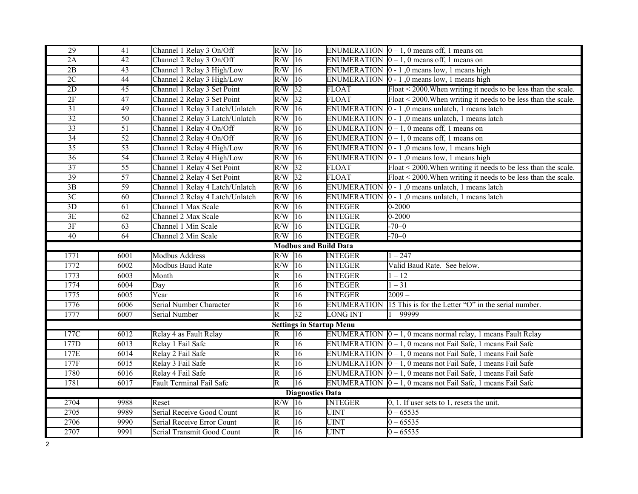| 29              | 41                | Channel 1 Relay 3 On/Off                                 | $R/W$ 16                                           |                                 |                            | ENUMERATION $\vert 0-1, 0 \vert$ means off, 1 means on               |
|-----------------|-------------------|----------------------------------------------------------|----------------------------------------------------|---------------------------------|----------------------------|----------------------------------------------------------------------|
| 2A              | $\overline{42}$   | Channel 2 Relay 3 On/Off                                 | $R/W$ 16                                           |                                 |                            | ENUMERATION $\boxed{0} - 1$ , 0 means off, 1 means on                |
| $\overline{2B}$ | 43                | Channel 1 Relay 3 High/Low                               | $R/W$ 16                                           |                                 |                            | ENUMERATION 0 - 1,0 means low, 1 means high                          |
| 2C              | 44                | Channel 2 Relay 3 High/Low                               | R/W                                                | 16                              | <b>ENUMERATION</b>         | $0 - 1$ , 0 means low, 1 means high                                  |
| $\overline{2D}$ | $\overline{45}$   | Channel 1 Relay 3 Set Point                              | R/W                                                | 32                              | <b>FLOAT</b>               | Float < 2000. When writing it needs to be less than the scale.       |
| 2F              | $\overline{47}$   | Channel 2 Relay 3 Set Point                              | R/W                                                | $\overline{32}$                 | <b>FLOAT</b>               | Float < 2000. When writing it needs to be less than the scale.       |
| $\overline{31}$ | 49                | Channel 1 Relay 3 Latch/Unlatch                          | R/W                                                | $\overline{16}$                 | <b>ENUMERATION</b>         | 0 - 1,0 means unlatch, 1 means latch                                 |
| $\overline{32}$ | $\overline{50}$   | Channel 2 Relay 3 Latch/Unlatch                          | R/W                                                | $\overline{16}$                 | <b>ENUMERATION</b>         | 0 - 1,0 means unlatch, 1 means latch                                 |
| $\overline{33}$ | 51                | Channel 1 Relay 4 On/Off                                 | R/W                                                | $\overline{16}$                 | <b>ENUMERATION</b>         | $0-1$ , 0 means off, 1 means on                                      |
| $\overline{34}$ | $\overline{52}$   | Channel 2 Relay 4 On/Off                                 | R/W                                                | $ 16\rangle$                    | <b>ENUMERATION</b>         | $0 - 1$ , 0 means off, 1 means on                                    |
| $\overline{35}$ | $\overline{53}$   | Channel 1 Relay 4 High/Low                               | R/W                                                | $ 16\rangle$                    | <b>ENUMERATION</b>         | $0 - 1$ , 0 means low, 1 means high                                  |
| $\overline{36}$ | $\overline{54}$   | Channel 2 Relay 4 High/Low                               | R/W                                                | $\overline{16}$                 | <b>ENUMERATION</b>         | $0 - 1$ , 0 means low, 1 means high                                  |
| $\overline{37}$ | $\overline{55}$   | Channel 1 Relay 4 Set Point                              | R/W                                                | 32                              | <b>FLOAT</b>               | Float < 2000. When writing it needs to be less than the scale.       |
| $\overline{39}$ | $\overline{57}$   | Channel 2 Relay 4 Set Point                              | R/W                                                | 32                              | <b>FLOAT</b>               | Float < 2000. When writing it needs to be less than the scale.       |
| $3B$            | 59                | Channel 1 Relay 4 Latch/Unlatch                          | R/W                                                | $\overline{16}$                 | <b>ENUMERATION</b>         | 0 - 1,0 means unlatch, 1 means latch                                 |
| $\overline{3C}$ | $\overline{60}$   | Channel 2 Relay 4 Latch/Unlatch                          | R/W                                                | $\overline{16}$                 | <b>ENUMERATION</b>         | 0 - 1,0 means unlatch, 1 means latch                                 |
| $\overline{3D}$ | $\overline{61}$   | Channel 1 Max Scale                                      | R/W                                                | $\overline{16}$                 | <b>INTEGER</b>             | $0 - 2000$                                                           |
| 3E              | 62                | Channel 2 Max Scale                                      | R/W                                                | $\overline{16}$                 | <b>INTEGER</b>             | $0 - 2000$                                                           |
| $3F$            | 63                | Channel 1 Min Scale                                      | $R/W$ 16                                           |                                 | <b>INTEGER</b>             | $-70-0$                                                              |
| $\overline{40}$ | $\overline{64}$   | Channel 2 Min Scale                                      | $R/W$ 16                                           |                                 | <b>INTEGER</b>             | $-70-0$                                                              |
|                 |                   |                                                          |                                                    |                                 |                            |                                                                      |
|                 |                   |                                                          |                                                    | <b>Modbus and Build Data</b>    |                            |                                                                      |
| 1771            | $\overline{6001}$ | <b>Modbus Address</b>                                    | $R/W$ 16                                           |                                 | <b>INTEGER</b>             | $1 - 247$                                                            |
| 1772            | 6002              | Modbus Baud Rate                                         | R/W                                                | $\overline{16}$                 | <b>INTEGER</b>             | Valid Baud Rate. See below.                                          |
| 1773            | 6003              | Month                                                    | R                                                  | 16                              | <b>INTEGER</b>             | $1 - 12$                                                             |
| 1774            | 6004              | Day                                                      | R                                                  | 16                              | <b>INTEGER</b>             | $1 - 31$                                                             |
| 1775            | 6005              | Year                                                     | $\overline{\mathsf{R}}$                            | $\overline{16}$                 | <b>INTEGER</b>             | $2009 -$                                                             |
| 1776            | 6006              | Serial Number Character                                  | R                                                  | 16                              | <b>ENUMERATION</b>         | 15 This is for the Letter "O" in the serial number.                  |
| 1777            | 6007              | Serial Number                                            | $\overline{\mathrm{R}}$                            | $\overline{32}$                 | <b>LONG INT</b>            | $1 - 99999$                                                          |
|                 |                   |                                                          |                                                    | <b>Settings in Startup Menu</b> |                            |                                                                      |
| 177C            | 6012              | Relay 4 as Fault Relay                                   | R                                                  | 16                              |                            | ENUMERATION $[0 - 1, 0$ means normal relay, 1 means Fault Relay      |
| 177D            | 6013              | Relay 1 Fail Safe                                        | $\overline{\mathsf{R}}$                            | 16                              |                            | ENUMERATION $ 0 - 1$ , 0 means not Fail Safe, 1 means Fail Safe      |
| 177E            | 6014              | Relay 2 Fail Safe                                        | $\overline{\mathsf{R}}$                            | 16                              |                            | ENUMERATION $ 0 - 1$ , 0 means not Fail Safe, 1 means Fail Safe      |
| 177F            | 6015              | Relay 3 Fail Safe                                        | R                                                  | 16                              |                            | ENUMERATION $ 0 - 1$ , 0 means not Fail Safe, 1 means Fail Safe      |
| 1780            | $\overline{6016}$ | Relay 4 Fail Safe                                        | $\overline{\mathsf{R}}$                            | 16                              |                            | ENUMERATION $\vert 0 - 1$ , 0 means not Fail Safe, 1 means Fail Safe |
| 1781            | 6017              | Fault Terminal Fail Safe                                 | $\overline{\mathrm{R}}$                            | 16                              |                            | ENUMERATION $ 0 - 1$ , 0 means not Fail Safe, 1 means Fail Safe      |
|                 |                   |                                                          |                                                    | <b>Diagnostics Data</b>         |                            |                                                                      |
| 2704            | 9988              | Reset                                                    | R/W                                                | $ 16\rangle$                    | <b>INTEGER</b>             | $0, 1$ . If user sets to 1, resets the unit.                         |
| 2705            | 9989              | Serial Receive Good Count                                | R                                                  | 16                              | <b>UINT</b>                | $0 - 65535$                                                          |
| 2706<br>2707    | 9990<br>9991      | Serial Receive Error Count<br>Serial Transmit Good Count | $\overline{\mathsf{R}}$<br>$\overline{\mathsf{R}}$ | 16<br>$\overline{16}$           | <b>UINT</b><br><b>UINT</b> | $0 - 65535$<br>$0 - 65535$                                           |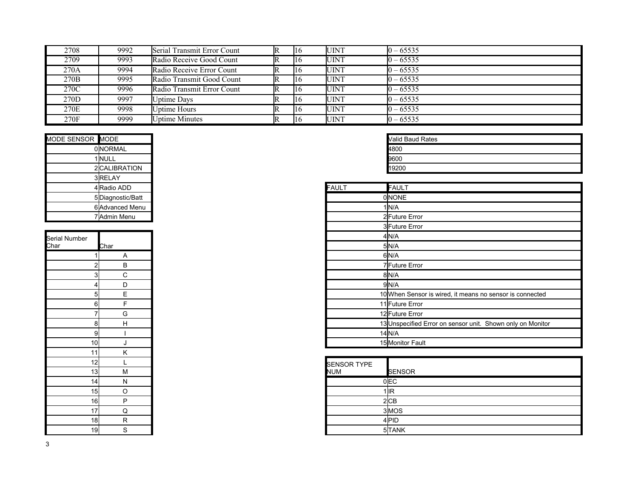| 2708 | 9992 | Serial Transmit Error Count | <b>IR</b>    | <b>UINT</b>  | $0 - 65535$ |
|------|------|-----------------------------|--------------|--------------|-------------|
| 2709 | 9993 | Radio Receive Good Count    | <b>IR</b>    | <b>JUINT</b> | $0 - 65535$ |
| 270A | 9994 | Radio Receive Error Count   | $\mathbb{R}$ | <b>UINT</b>  | $0 - 65535$ |
| 270B | 9995 | Radio Transmit Good Count   | <b>IR</b>    | <b>UINT</b>  | $0 - 65535$ |
| 270C | 9996 | Radio Transmit Error Count  | $\mathbb{R}$ | <b>UINT</b>  | $0 - 65535$ |
| 270D | 9997 | <b>Uptime Days</b>          | $\mathbb{R}$ | <b>UINT</b>  | $0 - 65535$ |
| 270E | 9998 | <b>Uptime Hours</b>         | IR           | <b>JUINT</b> | $0 - 65535$ |
| 270F | 9999 | <b>Uptime Minutes</b>       | $\mathbb{R}$ | UINT         | $0 - 65535$ |

| MODE SENSOR MODE |                  |              | <b>Valid Baud Rates</b> |
|------------------|------------------|--------------|-------------------------|
|                  | <b>OINORMAL</b>  |              | 4800                    |
|                  | 1 NULL           |              | 9600                    |
|                  | 2 CALIBRATION    |              | 19200                   |
|                  | 3 RELAY          |              |                         |
|                  | 4 Radio ADD      | <b>FAULT</b> | FAULT                   |
|                  | 5Diagnostic/Batt |              | <b>ONONE</b>            |
|                  | 6 Advanced Menu  |              | 1/N/A                   |
|                  | 7 Admin Menu     |              | 2 Future Error          |

| Serial Number<br>Char | <u>Char</u>                      |
|-----------------------|----------------------------------|
|                       | 1<br>Α                           |
|                       | $\overline{2}$<br>$\overline{B}$ |
|                       | 3<br>C                           |
|                       | 4<br>D                           |
|                       | E<br>5                           |
|                       | 6<br>F                           |
|                       | G<br>7                           |
|                       | H<br>8                           |
|                       | 9<br>ı                           |
| 10                    | J                                |
| 11                    | Κ                                |
| 12                    | L                                |
| 13                    | M                                |
| 14                    | N                                |
| 15                    | O                                |
| 16                    | Ρ                                |
| 17                    | Q                                |
| 18                    | R                                |
| 19                    | S                                |

| <b>Valid Baud Rates</b> |  |  |
|-------------------------|--|--|
|                         |  |  |
|                         |  |  |
|                         |  |  |

| 4 Radio ADD         | <b>FAULT</b> | FAULT                                                      |
|---------------------|--------------|------------------------------------------------------------|
| 5Diagnostic/Batt    |              | 0NONE                                                      |
| 6 Advanced Menu     |              | 1N/A                                                       |
| 7 Admin Menu        |              | 2 Future Error                                             |
|                     |              | 3 Future Error                                             |
|                     |              | 4 N/A                                                      |
| Char                |              | 5N/A                                                       |
| Α                   |              | 6N/A                                                       |
| $\overline{c}$<br>B |              | 7 Future Error                                             |
| 3<br>С              |              | 8 N/A                                                      |
| D                   |              | 9 N/A                                                      |
| E<br>5              |              | 10 When Sensor is wired, it means no sensor is connected   |
| $6 \mid$<br>F       |              | 11 Future Error                                            |
| G                   |              | 12 Future Error                                            |
| H<br>8              |              | 13 Unspecified Error on sensor unit. Shown only on Monitor |
| 9                   |              | 14 N/A                                                     |
| 10<br>J             |              | 15 Monitor Fault                                           |

| 12<br>13 <sub>l</sub> | м | <b>SENSOR TYPE</b><br><b>NUM</b> | <b>SENSOR</b> |
|-----------------------|---|----------------------------------|---------------|
| 14                    | N |                                  | 0 EC          |
| 15 <sup>1</sup>       |   |                                  | 1llR          |
| 16                    |   |                                  | 2ICB          |
| 17                    |   |                                  | 3 MOS         |
| 18                    | ח |                                  | 4lPID         |
| 19                    |   |                                  | 5TANK         |